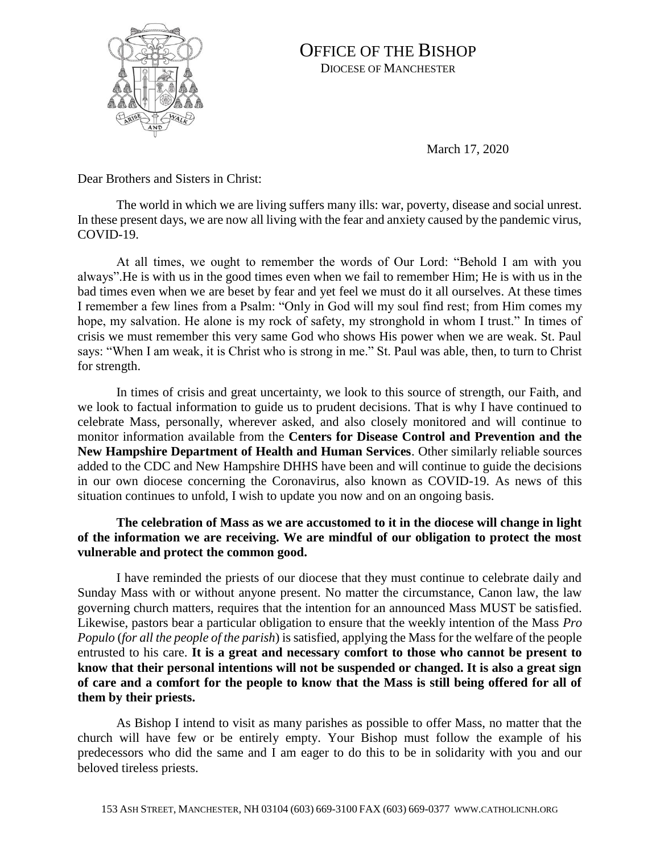

## OFFICE OF THE BISHOP DIOCESE OF MANCHESTER

March 17, 2020

Dear Brothers and Sisters in Christ:

The world in which we are living suffers many ills: war, poverty, disease and social unrest. In these present days, we are now all living with the fear and anxiety caused by the pandemic virus, COVID-19.

At all times, we ought to remember the words of Our Lord: "Behold I am with you always".He is with us in the good times even when we fail to remember Him; He is with us in the bad times even when we are beset by fear and yet feel we must do it all ourselves. At these times I remember a few lines from a Psalm: "Only in God will my soul find rest; from Him comes my hope, my salvation. He alone is my rock of safety, my stronghold in whom I trust." In times of crisis we must remember this very same God who shows His power when we are weak. St. Paul says: "When I am weak, it is Christ who is strong in me." St. Paul was able, then, to turn to Christ for strength.

In times of crisis and great uncertainty, we look to this source of strength, our Faith, and we look to factual information to guide us to prudent decisions. That is why I have continued to celebrate Mass, personally, wherever asked, and also closely monitored and will continue to monitor information available from the **Centers for Disease Control and Prevention and the New Hampshire Department of Health and Human Services**. Other similarly reliable sources added to the CDC and New Hampshire DHHS have been and will continue to guide the decisions in our own diocese concerning the Coronavirus, also known as COVID-19. As news of this situation continues to unfold, I wish to update you now and on an ongoing basis.

## **The celebration of Mass as we are accustomed to it in the diocese will change in light of the information we are receiving. We are mindful of our obligation to protect the most vulnerable and protect the common good.**

I have reminded the priests of our diocese that they must continue to celebrate daily and Sunday Mass with or without anyone present. No matter the circumstance, Canon law, the law governing church matters, requires that the intention for an announced Mass MUST be satisfied. Likewise, pastors bear a particular obligation to ensure that the weekly intention of the Mass *Pro Populo* (*for all the people of the parish*) is satisfied, applying the Mass for the welfare of the people entrusted to his care. **It is a great and necessary comfort to those who cannot be present to know that their personal intentions will not be suspended or changed. It is also a great sign of care and a comfort for the people to know that the Mass is still being offered for all of them by their priests.**

As Bishop I intend to visit as many parishes as possible to offer Mass, no matter that the church will have few or be entirely empty. Your Bishop must follow the example of his predecessors who did the same and I am eager to do this to be in solidarity with you and our beloved tireless priests.